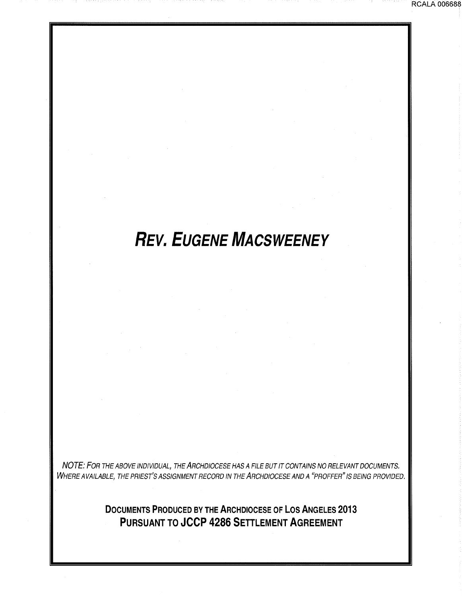# *REV. EUGENE MACSWEENEY*

RCALA 006688

NOTE: FOR THE ABOVE INDIVIDUAL, THE ARCHDIOCESE HAS A FILE BUT IT CONTAINS NO RELEVANT DOCUMENTS. WHERE AVAILABLE, THE PRIEST'S ASSIGNMENT RECORD IN THE ARCHDIOCESE AND A "PROFFER" IS BEING PROVIDED.

> **DOCUMENTS PRODUCED BY THE ARCHDIOCESE OF LOS ANGELES 2013 PURSUANT TO JCCP 4286 SETTLEMENT AGREEMENT**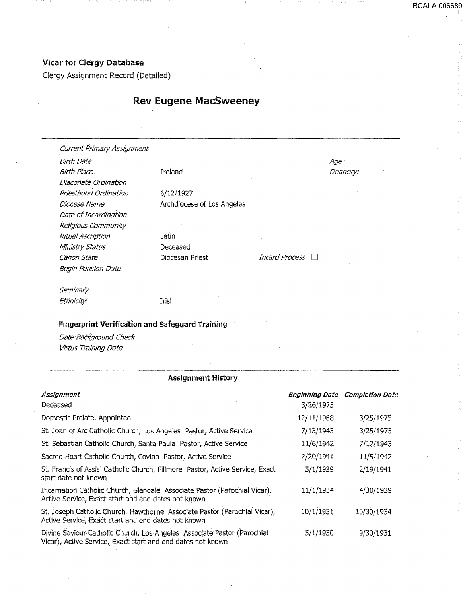## Vicar for Clergy Database

Clergy Assignment Record (Detailed)

# Rev Eugene MacSweeney

| Current Primary Assignment |                            |                       |          |
|----------------------------|----------------------------|-----------------------|----------|
| Birth Date                 |                            |                       | Age:     |
| <b>Birth Place</b>         | Ireland                    |                       | Deanery: |
| Diaconate Ordination       |                            |                       |          |
| Priesthood Ordination      | 6/12/1927                  |                       |          |
| Diocese Name               | Archdiocese of Los Angeles |                       |          |
| Date of Incardination      |                            |                       |          |
| Religious Community        |                            |                       |          |
| Ritual Ascription          | Latin                      |                       |          |
| Ministry Status            | Deceased                   |                       |          |
| Canon State                | Diocesan Priest            | <b>Incard Process</b> |          |
| Begin Pension Date         |                            |                       |          |
| Seminary                   |                            |                       |          |
| <b>Ethnicity</b>           | Irish                      |                       |          |

#### Fingerprint Verification and Safeguard Training

Date Background Ch'eck Virtus Training Date

| <b>Assignment History</b>                                                                                                              |                                    |                        |  |  |
|----------------------------------------------------------------------------------------------------------------------------------------|------------------------------------|------------------------|--|--|
| Assignment<br>Deceased                                                                                                                 | <b>Beginning Date</b><br>3/26/1975 | <b>Completion Date</b> |  |  |
| Domestic Prelate, Appointed                                                                                                            | 12/11/1968                         | 3/25/1975              |  |  |
| St. Joan of Arc Catholic Church, Los Angeles Pastor, Active Service                                                                    | 7/13/1943                          | 3/25/1975              |  |  |
| St. Sebastian Catholic Church, Santa Paula Pastor, Active Service                                                                      | 11/6/1942                          | 7/12/1943              |  |  |
| Sacred Heart Catholic Church, Covina Pastor, Active Service                                                                            | 2/20/1941                          | 11/5/1942              |  |  |
| St. Francis of Assisi Catholic Church, Fillmore Pastor, Active Service, Exact<br>start date not known                                  | 5/1/1939                           | 2/19/1941              |  |  |
| Incarnation Catholic Church, Glendale Associate Pastor (Parochial Vicar),<br>Active Service, Exact start and end dates not known       | 11/1/1934                          | 4/30/1939              |  |  |
| St. Joseph Catholic Church, Hawthorne Associate Pastor (Parochial Vicar),<br>Active Service, Exact start and end dates not known       | 10/1/1931                          | 10/30/1934             |  |  |
| Divine Saviour Catholic Church, Los Angeles Associate Pastor (Parochial<br>Vicar), Active Service, Exact start and end dates not known | 5/1/1930                           | 9/30/1931              |  |  |

...... - ........... \_\_\_\_\_ ...... \_\_\_\_ \_ ·--·----~·--------- \_\_\_\_\_ ... \_\_\_\_\_\_ \_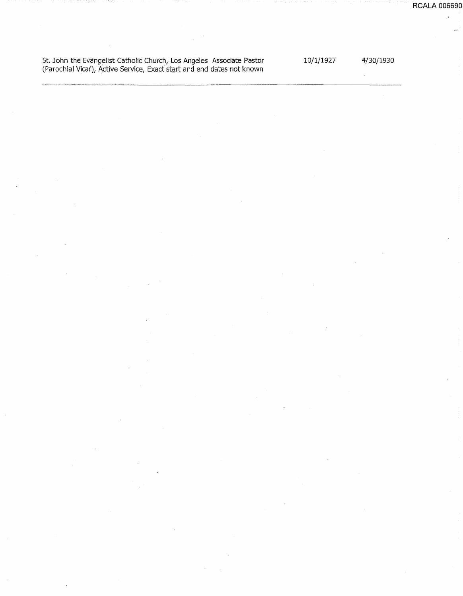St. John the Evangelist Catholic Church, Los Angeles Associate Pastor (Parochial Vicar), Active Service, Exact start and end dates not known

10/1/1927

4/30(1930

**RCALA 006690**